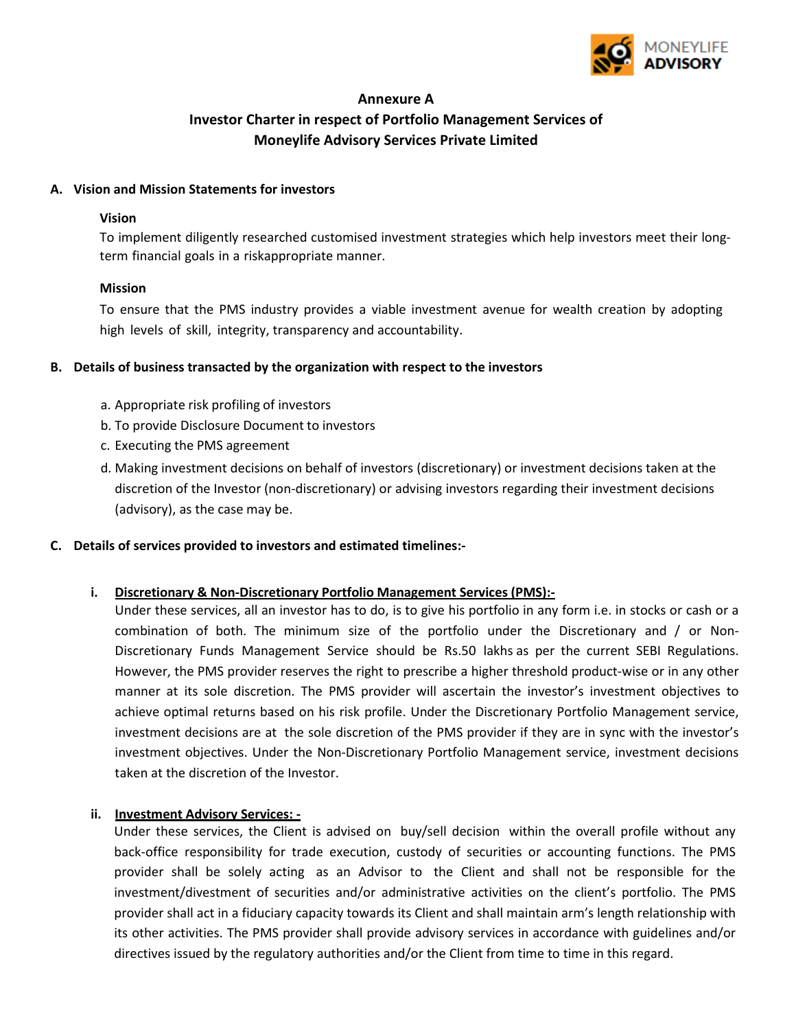

# **Annexure A Investor Charter in respect of Portfolio Management Services of Moneylife Advisory Services Private Limited**

### **A. Vision and Mission Statements for investors**

#### **Vision**

To implement diligently researched customised investment strategies which help investors meet their longterm financial goals in a risk appropriate manner.

## **Mission**

To ensure that the PMS industry provides a viable investment avenue for wealth creation by adopting high levels of skill, integrity, transparency and accountability.

## **B. Details of business transacted by the organization with respect to the investors**

- a. Appropriate risk profiling of investors
- b. To provide Disclosure Document to investors
- c. Executing the PMS agreement
- d. Making investment decisions on behalf of investors (discretionary) or investment decisions taken at the discretion of the Investor (non-discretionary) or advising investors regarding their investment decisions (advisory), as the case may be.

#### **C. Details of services provided to investors and estimated timelines:-**

# **i. Discretionary & Non-Discretionary Portfolio Management Services (PMS):-**

Under these services, all an investor has to do, is to give his portfolio in any form i.e. in stocks or cash or a combination of both. The minimum size of the portfolio under the Discretionary and / or Non-Discretionary Funds Management Service should be Rs.50 lakhs as per the current SEBI Regulations. However, the PMS provider reserves the right to prescribe a higher threshold product-wise or in any other manner at its sole discretion. The PMS provider will ascertain the investor's investment objectives to achieve optimal returns based on his risk profile. Under the Discretionary Portfolio Management service, investment decisions are at the sole discretion of the PMS provider if they are in sync with the investor's investment objectives. Under the Non-Discretionary Portfolio Management service, investment decisions taken at the discretion of the Investor.

# **ii. Investment Advisory Services: -**

Under these services, the Client is advised on buy/sell decision within the overall profile without any back-office responsibility for trade execution, custody of securities or accounting functions. The PMS provider shall be solely acting as an Advisor to the Client and shall not be responsible for the investment/divestment of securities and/or administrative activities on the client's portfolio. The PMS provider shall act in a fiduciary capacity towards its Client and shall maintain arm's length relationship with its other activities. The PMS provider shall provide advisory services in accordance with guidelines and/or directives issued by the regulatory authorities and/or the Client from time to time in this regard.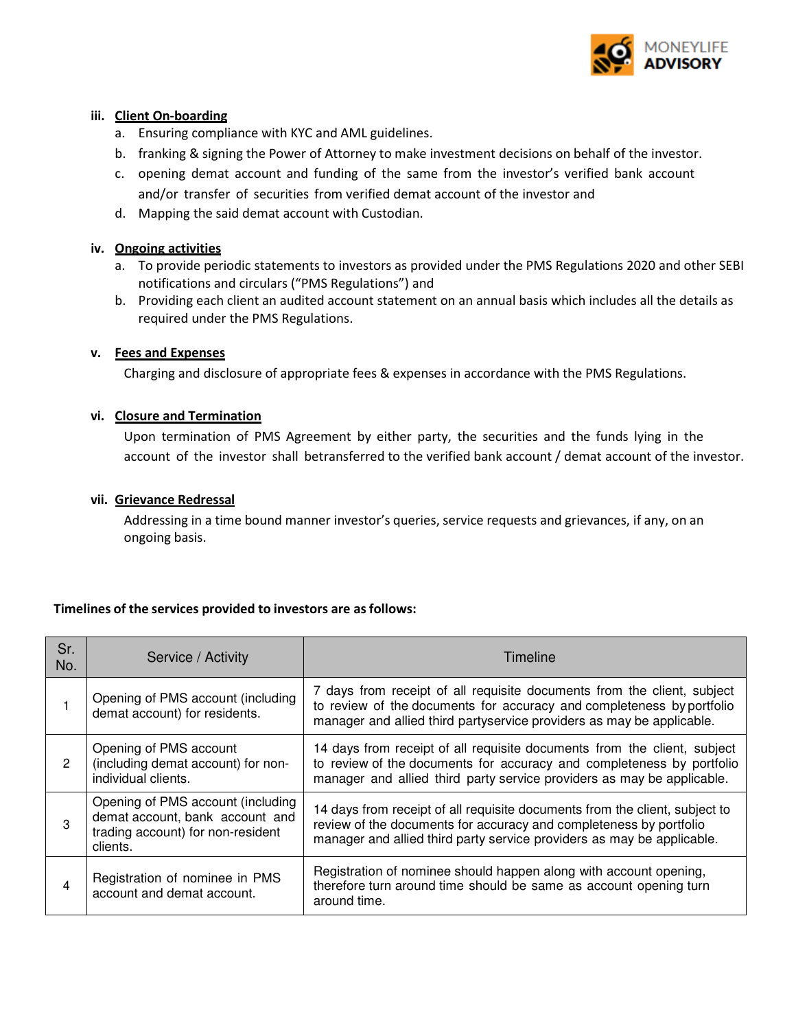

#### **iii. Client On-boarding**

- a. Ensuring compliance with KYC and AML guidelines.
- b. franking & signing the Power of Attorney to make investment decisions on behalf of the investor.
- c. opening demat account and funding of the same from the investor's verified bank account and/or transfer of securities from verified demat account of the investor and
- d. Mapping the said demat account with Custodian.

#### **iv. Ongoing activities**

- a. To provide periodic statements to investors as provided under the PMS Regulations 2020 and other SEBI notifications and circulars ("PMS Regulations") and
- b. Providing each client an audited account statement on an annual basis which includes all the details as required under the PMS Regulations.

#### **v. Fees and Expenses**

Charging and disclosure of appropriate fees & expenses in accordance with the PMS Regulations.

#### **vi. Closure and Termination**

Upon termination of PMS Agreement by either party, the securities and the funds lying in the account of the investor shall betransferred to the verified bank account / demat account of the investor.

#### **vii. Grievance Redressal**

Addressing in a time bound manner investor's queries, service requests and grievances, if any, on an ongoing basis.

#### **Timelines of the services provided to investors are as follows:**

| Sr.<br>No. | Service / Activity                                                                                                    | Timeline                                                                                                                                                                                                                    |
|------------|-----------------------------------------------------------------------------------------------------------------------|-----------------------------------------------------------------------------------------------------------------------------------------------------------------------------------------------------------------------------|
|            | Opening of PMS account (including<br>demat account) for residents.                                                    | 7 days from receipt of all requisite documents from the client, subject<br>to review of the documents for accuracy and completeness by portfolio<br>manager and allied third partyservice providers as may be applicable.   |
| 2          | Opening of PMS account<br>(including demat account) for non-<br>individual clients.                                   | 14 days from receipt of all requisite documents from the client, subject<br>to review of the documents for accuracy and completeness by portfolio<br>manager and allied third party service providers as may be applicable. |
| 3          | Opening of PMS account (including<br>demat account, bank account and<br>trading account) for non-resident<br>clients. | 14 days from receipt of all requisite documents from the client, subject to<br>review of the documents for accuracy and completeness by portfolio<br>manager and allied third party service providers as may be applicable. |
|            | Registration of nominee in PMS<br>account and demat account.                                                          | Registration of nominee should happen along with account opening,<br>therefore turn around time should be same as account opening turn<br>around time.                                                                      |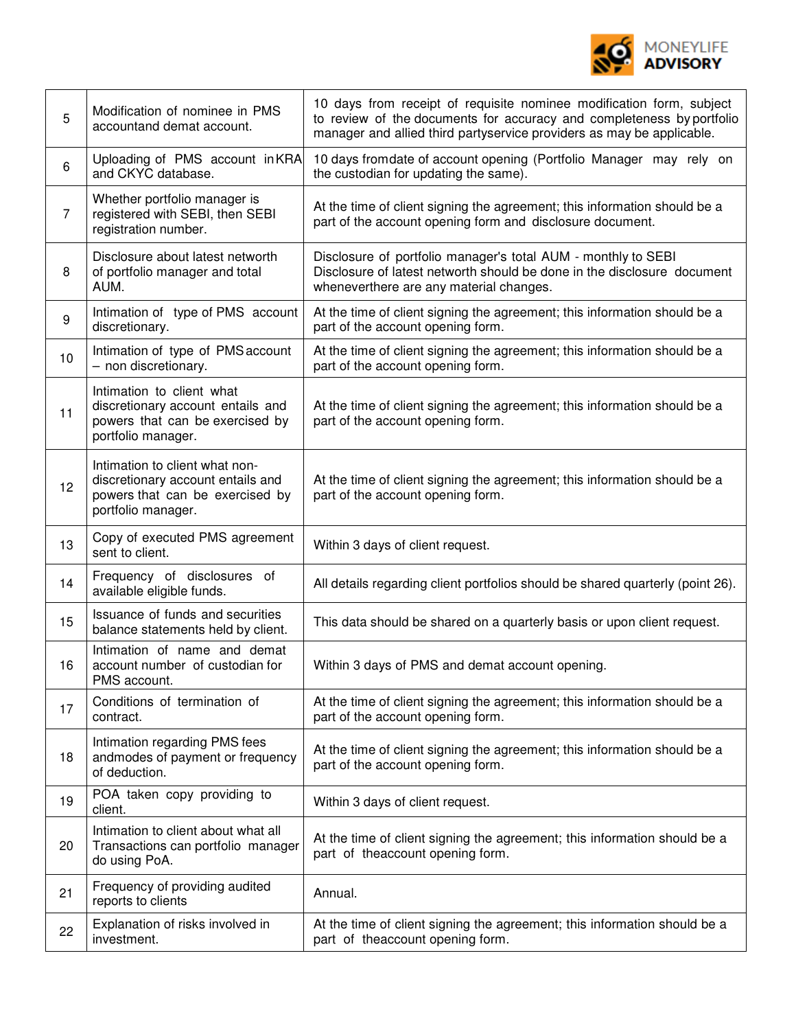

| 5                | Modification of nominee in PMS<br>accountand demat account.                                                                  | 10 days from receipt of requisite nominee modification form, subject<br>to review of the documents for accuracy and completeness by portfolio<br>manager and allied third partyservice providers as may be applicable. |
|------------------|------------------------------------------------------------------------------------------------------------------------------|------------------------------------------------------------------------------------------------------------------------------------------------------------------------------------------------------------------------|
| 6                | Uploading of PMS account in KRA<br>and CKYC database.                                                                        | 10 days fromdate of account opening (Portfolio Manager may rely on<br>the custodian for updating the same).                                                                                                            |
| $\overline{7}$   | Whether portfolio manager is<br>registered with SEBI, then SEBI<br>registration number.                                      | At the time of client signing the agreement; this information should be a<br>part of the account opening form and disclosure document.                                                                                 |
| 8                | Disclosure about latest networth<br>of portfolio manager and total<br>AUM.                                                   | Disclosure of portfolio manager's total AUM - monthly to SEBI<br>Disclosure of latest networth should be done in the disclosure document<br>wheneverthere are any material changes.                                    |
| $\boldsymbol{9}$ | Intimation of type of PMS account<br>discretionary.                                                                          | At the time of client signing the agreement; this information should be a<br>part of the account opening form.                                                                                                         |
| 10               | Intimation of type of PMS account<br>- non discretionary.                                                                    | At the time of client signing the agreement; this information should be a<br>part of the account opening form.                                                                                                         |
| 11               | Intimation to client what<br>discretionary account entails and<br>powers that can be exercised by<br>portfolio manager.      | At the time of client signing the agreement; this information should be a<br>part of the account opening form.                                                                                                         |
| 12               | Intimation to client what non-<br>discretionary account entails and<br>powers that can be exercised by<br>portfolio manager. | At the time of client signing the agreement; this information should be a<br>part of the account opening form.                                                                                                         |
| 13               | Copy of executed PMS agreement<br>sent to client.                                                                            | Within 3 days of client request.                                                                                                                                                                                       |
| 14               | Frequency of disclosures of<br>available eligible funds.                                                                     | All details regarding client portfolios should be shared quarterly (point 26).                                                                                                                                         |
| 15               | Issuance of funds and securities<br>balance statements held by client.                                                       | This data should be shared on a quarterly basis or upon client request.                                                                                                                                                |
| 16               | Intimation of name and demat<br>account number of custodian for<br>PMS account.                                              | Within 3 days of PMS and demat account opening.                                                                                                                                                                        |
| 17               | Conditions of termination of<br>contract.                                                                                    | At the time of client signing the agreement; this information should be a<br>part of the account opening form.                                                                                                         |
| 18               | Intimation regarding PMS fees<br>andmodes of payment or frequency<br>of deduction.                                           | At the time of client signing the agreement; this information should be a<br>part of the account opening form.                                                                                                         |
| 19               | POA taken copy providing to<br>client.                                                                                       | Within 3 days of client request.                                                                                                                                                                                       |
| 20               | Intimation to client about what all<br>Transactions can portfolio manager<br>do using PoA.                                   | At the time of client signing the agreement; this information should be a<br>part of theaccount opening form.                                                                                                          |
| 21               | Frequency of providing audited<br>reports to clients                                                                         | Annual.                                                                                                                                                                                                                |
| 22               | Explanation of risks involved in<br>investment.                                                                              | At the time of client signing the agreement; this information should be a<br>part of theaccount opening form.                                                                                                          |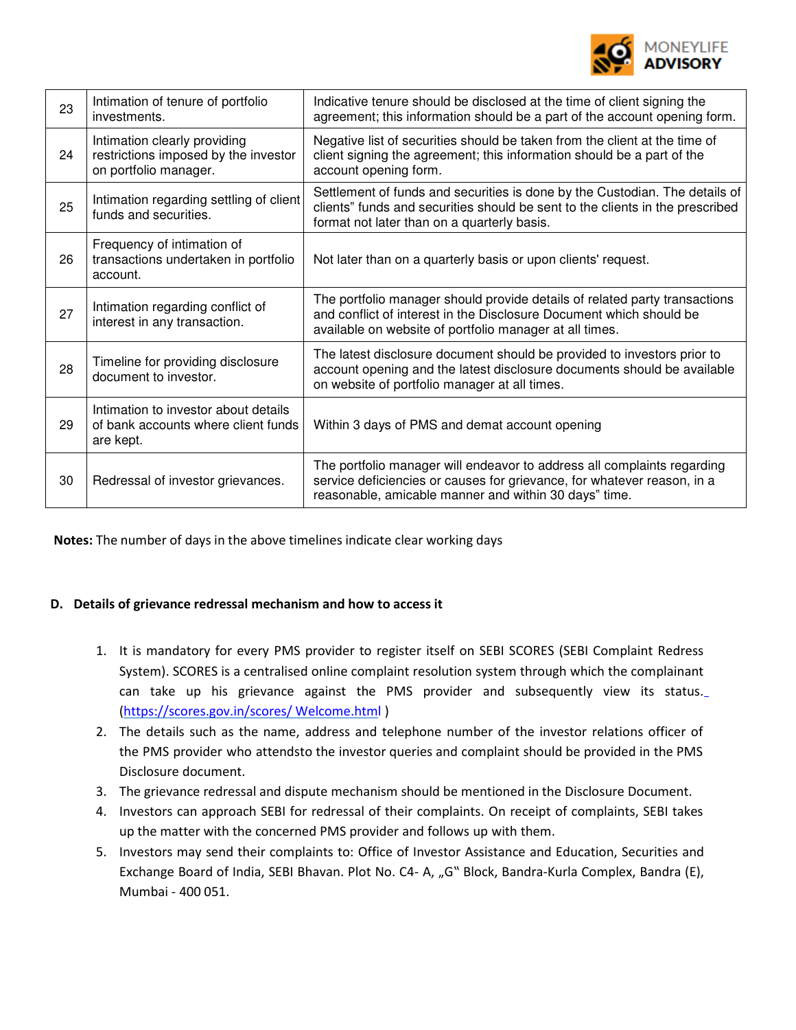

| 23 | Intimation of tenure of portfolio<br>investments.                                             | Indicative tenure should be disclosed at the time of client signing the<br>agreement; this information should be a part of the account opening form.                                                         |
|----|-----------------------------------------------------------------------------------------------|--------------------------------------------------------------------------------------------------------------------------------------------------------------------------------------------------------------|
| 24 | Intimation clearly providing<br>restrictions imposed by the investor<br>on portfolio manager. | Negative list of securities should be taken from the client at the time of<br>client signing the agreement; this information should be a part of the<br>account opening form.                                |
| 25 | Intimation regarding settling of client<br>funds and securities.                              | Settlement of funds and securities is done by the Custodian. The details of<br>clients" funds and securities should be sent to the clients in the prescribed<br>format not later than on a quarterly basis.  |
| 26 | Frequency of intimation of<br>transactions undertaken in portfolio<br>account.                | Not later than on a quarterly basis or upon clients' request.                                                                                                                                                |
| 27 | Intimation regarding conflict of<br>interest in any transaction.                              | The portfolio manager should provide details of related party transactions<br>and conflict of interest in the Disclosure Document which should be<br>available on website of portfolio manager at all times. |
| 28 | Timeline for providing disclosure<br>document to investor.                                    | The latest disclosure document should be provided to investors prior to<br>account opening and the latest disclosure documents should be available<br>on website of portfolio manager at all times.          |
| 29 | Intimation to investor about details<br>of bank accounts where client funds<br>are kept.      | Within 3 days of PMS and demat account opening                                                                                                                                                               |
| 30 | Redressal of investor grievances.                                                             | The portfolio manager will endeavor to address all complaints regarding<br>service deficiencies or causes for grievance, for whatever reason, in a<br>reasonable, amicable manner and within 30 days" time.  |

**Notes:** The number of days in the above timelines indicate clear working days

#### **D. Details of grievance redressal mechanism and how to access it**

- 1. It is mandatory for every PMS provider to register itself on SEBI SCORES (SEBI Complaint Redress System). SCORES is a centralised online complaint resolution system through which the complainant can take up his grievance against the PMS provider and subsequently view its status. (https://scores.gov.in/scores/ Welcome.html )
- 2. The details such as the name, address and telephone number of the investor relations officer of the PMS provider who attendsto the investor queries and complaint should be provided in the PMS Disclosure document.
- 3. The grievance redressal and dispute mechanism should be mentioned in the Disclosure Document.
- 4. Investors can approach SEBI for redressal of their complaints. On receipt of complaints, SEBI takes up the matter with the concerned PMS provider and follows up with them.
- 5. Investors may send their complaints to: Office of Investor Assistance and Education, Securities and Exchange Board of India, SEBI Bhavan. Plot No. C4- A, "G" Block, Bandra-Kurla Complex, Bandra (E), Mumbai - 400 051.